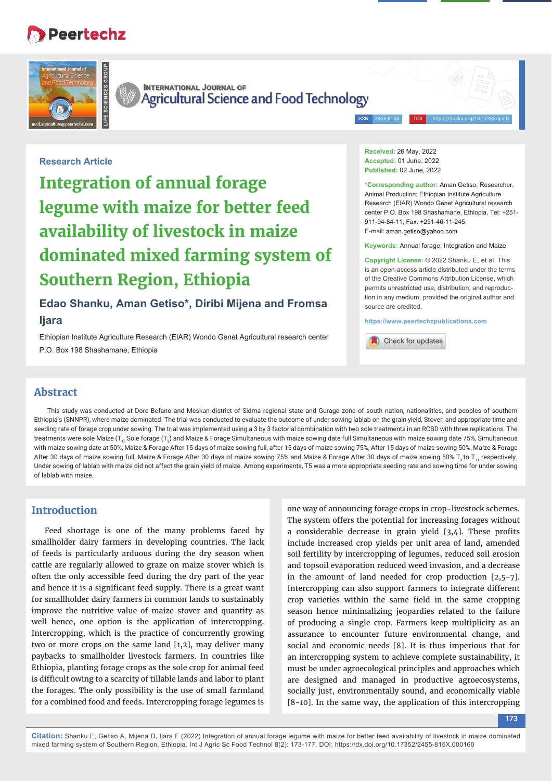# **Peertechz**





**INTERNATIONAL JOURNAL OF** Agricultural Science and Food Technology

ISSN: 2455-815X DOI: https://dx.doi.org/10.17352/ijasft

**Research Article**

**Integration of annual forage legume with maize for better feed availability of livestock in maize dominated mixed farming system of Southern Region, Ethiopia**

# **Edao Shanku, Aman Getiso\*, Diribi Mijena and Fromsa Ijara**

Ethiopian Institute Agriculture Research (EIAR) Wondo Genet Agricultural research center P.O. Box 198 Shashamane, Ethiopia

**Received:** 26 May, 2022 **Accepted:** 01 June, 2022 **Published:** 02 June, 2022

**\*Corresponding author:** Aman Getiso, Researcher, Animal Production; Ethiopian Institute Agriculture Research (EIAR) Wondo Genet Agricultural research center P.O. Box 198 Shashamane, Ethiopia, Tel: +251- 911-94-84-11; Fax: +251-46-11-245; E-mail: aman.getiso@yahoo.com

**Keywords:** Annual forage; Integration and Maize

**Copyright License:** © 2022 Shanku E, et al. This is an open-access article distributed under the terms of the Creative Commons Attribution License, which permits unrestricted use, distribution, and reproduction in any medium, provided the original author and source are credited.

**https://www.peertechzpublications.com**

Check for updates

## **Abstract**

This study was conducted at Dore Befano and Meskan district of Sidma regional state and Gurage zone of south nation, nationalities, and peoples of southern Ethiopia's (SNNPR), where maize dominated. The trial was conducted to evaluate the outcome of under sowing lablab on the grain yield, Stover, and appropriate time and seeding rate of forage crop under sowing. The trial was implemented using a 3 by 3 factorial combination with two sole treatments in an RCBD with three replications. The treatments were sole Maize (T<sub>1).</sub> Sole forage (T<sub>2</sub>) and Maize & Forage Simultaneous with maize sowing date full Simultaneous with maize sowing date 75%, Simultaneous with maize sowing date at 50%, Maize & Forage After 15 days of maize sowing full, after 15 days of maize sowing 75%, After 15 days of maize sowing 50%, Maize & Forage After 30 days of maize sowing full, Maize & Forage After 30 days of maize sowing 75% and Maize & Forage After 30 days of maize sowing 50% T<sub>3</sub> to T<sub>11</sub> respectively. Under sowing of lablab with maize did not affect the grain yield of maize. Among experiments, T5 was a more appropriate seeding rate and sowing time for under sowing of lablab with maize.

## **Introduction**

Feed shortage is one of the many problems faced by smallholder dairy farmers in developing countries. The lack of feeds is particularly arduous during the dry season when cattle are regularly allowed to graze on maize stover which is often the only accessible feed during the dry part of the year and hence it is a significant feed supply. There is a great want for smallholder dairy farmers in common lands to sustainably improve the nutritive value of maize stover and quantity as well hence, one option is the application of intercropping. Intercropping, which is the practice of concurrently growing two or more crops on the same land [1,2], may deliver many paybacks to smallholder livestock farmers. In countries like Ethiopia, planting forage crops as the sole crop for animal feed is difficult owing to a scarcity of tillable lands and labor to plant the forages. The only possibility is the use of small farmland for a combined food and feeds. Intercropping forage legumes is

one way of announcing forage crops in crop-livestock schemes. The system offers the potential for increasing forages without a considerable decrease in grain yield  $[3,4]$ . These profits include increased crop yields per unit area of land, amended soil fertility by intercropping of legumes, reduced soil erosion and topsoil evaporation reduced weed invasion, and a decrease in the amount of land needed for crop production [2,5-7]. Intercropping can also support farmers to integrate different crop varieties within the same field in the same cropping season hence minimalizing jeopardies related to the failure of producing a single crop. Farmers keep multiplicity as an assurance to encounter future environmental change, and social and economic needs [8]. It is thus imperious that for an intercropping system to achieve complete sustainability, it must be under agroecological principles and approaches which are designed and managed in productive agroecosystems, socially just, environmentally sound, and economically viable [8-10]. In the same way, the application of this intercropping

**173**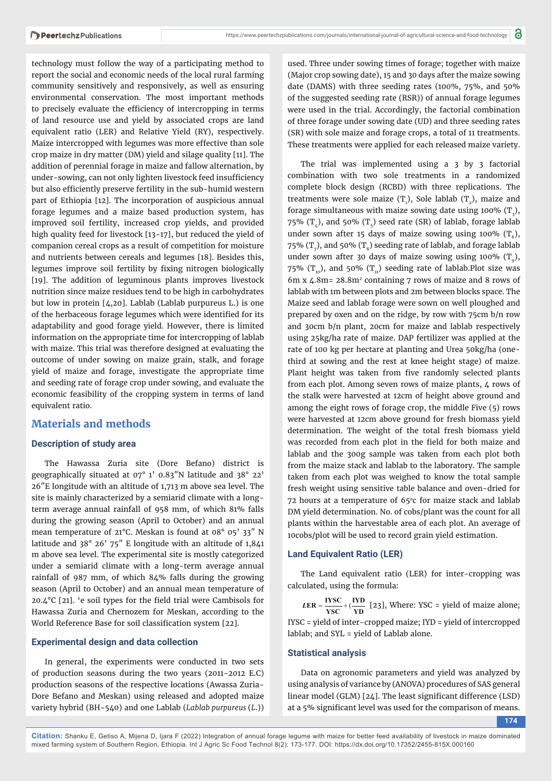technology must follow the way of a participating method to report the social and economic needs of the local rural farming community sensitively and responsively, as well as ensuring environmental conservation. The most important methods to precisely evaluate the efficiency of intercropping in terms of land resource use and yield by associated crops are land equivalent ratio (LER) and Relative Yield (RY), respectively. Maize intercropped with legumes was more effective than sole crop maize in dry matter (DM) yield and silage quality [11]. The addition of perennial forage in maize and fallow alternation, by under-sowing, can not only lighten livestock feed insufficiency but also efficiently preserve fertility in the sub-humid western part of Ethiopia [12]. The incorporation of auspicious annual forage legumes and a maize based production system, has improved soil fertility, increased crop yields, and provided high quality feed for livestock [13-17], but reduced the yield of companion cereal crops as a result of competition for moisture and nutrients between cereals and legumes [18]. Besides this, legumes improve soil fertility by fixing nitrogen biologically [19]. The addition of leguminous plants improves livestock nutrition since maize residues tend to be high in carbohydrates but low in protein [4,20]. Lablab (Lablab purpureus L.) is one of the herbaceous forage legumes which were identified for its adaptability and good forage yield. However, there is limited information on the appropriate time for intercropping of lablab with maize. This trial was therefore designed at evaluating the outcome of under sowing on maize grain, stalk, and forage yield of maize and forage, investigate the appropriate time and seeding rate of forage crop under sowing, and evaluate the economic feasibility of the cropping system in terms of land equivalent ratio.

## **Materials and methods**

## **Description of study area**

The Hawassa Zuria site (Dore Befano) district is geographically situated at 07° 1' 0.83″N latitude and 38° 22' 26″E longitude with an altitude of 1,713 m above sea level. The site is mainly characterized by a semiarid climate with a longterm average annual rainfall of 958 mm, of which 81% falls during the growing season (April to October) and an annual mean temperature of 21°C. Meskan is found at 08° 05' 33″ N latitude and 38° 26' 75″ E longitude with an altitude of 1,841 m above sea level. The experimental site is mostly categorized under a semiarid climate with a long-term average annual rainfall of 987 mm, of which 84% falls during the growing season (April to October) and an annual mean temperature of 20.4 $^{\circ}$ C [21]. 'e soil types for the field trial were Cambisols for Hawassa Zuria and Chernozem for Meskan, according to the World Reference Base for soil classification system [22].

#### **Experimental design and data collection**

In general, the experiments were conducted in two sets of production seasons during the two years (2011-2012 E.C) production seasons of the respective locations (Awassa Zuria-Dore Befano and Meskan) using released and adopted maize variety hybrid (BH-540) and one Lablab (*Lablab purpureus* (*L*.))

used. Three under sowing times of forage; together with maize (Major crop sowing date), 15 and 30 days after the maize sowing date (DAMS) with three seeding rates (100%, 75%, and 50% of the suggested seeding rate (RSR)) of annual forage legumes were used in the trial. Accordingly, the factorial combination of three forage under sowing date (UD) and three seeding rates (SR) with sole maize and forage crops, a total of 11 treatments. These treatments were applied for each released maize variety.

The trial was implemented using a 3 by 3 factorial combination with two sole treatments in a randomized complete block design (RCBD) with three replications. The treatments were sole maize  $(T_1)$ , Sole lablab  $(T_2)$ , maize and forage simultaneous with maize sowing date using 100%  $(T_3)$ , 75%  $(T<sub>1</sub>)$ , and 50%  $(T<sub>2</sub>)$  seed rate (SR) of lablab, forage lablab under sown after 15 days of maize sowing using 100%  $(T_6)$ , 75% (T<sub>7</sub>), and 50% (T<sub>8</sub>) seeding rate of lablab, and forage lablab under sown after 30 days of maize sowing using 100%  $(T_0)$ , 75% ( $T_{10}$ ), and 50% ( $T_{11}$ ) seeding rate of lablab.Plot size was 6m x 4.8m= 28.8m2 containing 7 rows of maize and 8 rows of lablab with 1m between plots and 2m between blocks space. The Maize seed and lablab forage were sown on well ploughed and prepared by oxen and on the ridge, by row with 75cm b/n row and 30cm b/n plant, 20cm for maize and lablab respectively using 25kg/ha rate of maize. DAP fertilizer was applied at the rate of 100 kg per hectare at planting and Urea 50kg/ha (onethird at sowing and the rest at knee height stage) of maize. Plant height was taken from five randomly selected plants from each plot. Among seven rows of maize plants, 4 rows of the stalk were harvested at 12cm of height above ground and among the eight rows of forage crop, the middle Five (5) rows were harvested at 12cm above ground for fresh biomass yield determination. The weight of the total fresh biomass yield was recorded from each plot in the field for both maize and lablab and the 300g sample was taken from each plot both from the maize stack and lablab to the laboratory. The sample taken from each plot was weighed to know the total sample fresh weight using sensitive table balance and oven-dried for 72 hours at a temperature of  $65^{\circ}$ c for maize stack and lablab DM yield determination. No. of cobs/plant was the count for all plants within the harvestable area of each plot. An average of 10cobs/plot will be used to record grain yield estimation.

## **Land Equivalent Ratio (LER)**

The Land equivalent ratio (LER) for inter-cropping was calculated, using the formula:

 $LER = \frac{\text{IVSC}}{\text{YSC}} + (\frac{\text{IVD}}{\text{YD}} \text{ [23]}, \text{Where: YSC = yield of maize alone};$ IYSC = yield of inter-cropped maize; IYD = yield of intercropped lablab; and SYL = yield of Lablab alone.

## **Statistical analysis**

Data on agronomic parameters and yield was analyzed by using analysis of variance by (ANOVA) procedures of SAS general linear model (GLM) [24]. The least significant difference (LSD) at a 5% significant level was used for the comparison of means.

**174**

**Citation:** Shanku E, Getiso A, Mijena D, Ijara F (2022) Integration of annual forage legume with maize for better feed availability of livestock in maize dominated mixed farming system of Southern Region, Ethiopia. Int J Agric Sc Food Technol 8(2): 173-177. DOI: https://dx.doi.org/10.17352/2455-815X.000160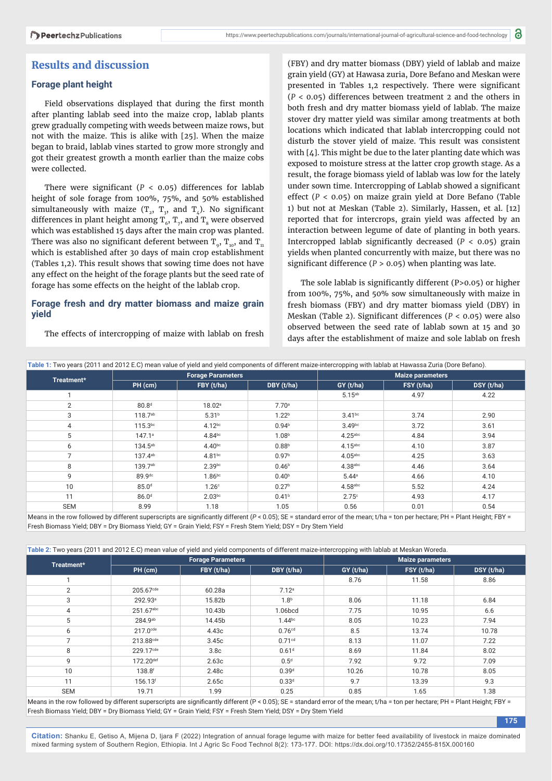## **Results and discussion**

## **Forage plant height**

Field observations displayed that during the first month after planting lablab seed into the maize crop, lablab plants grew gradually competing with weeds between maize rows, but not with the maize. This is alike with [25]. When the maize began to braid, lablab vines started to grow more strongly and got their greatest growth a month earlier than the maize cobs were collected.

There were significant ( $P < 0.05$ ) differences for lablab height of sole forage from 100%, 75%, and 50% established simultaneously with maize  $(T_2, T_3,$  and  $T_4$ ). No significant differences in plant height among  $\texttt{T}_{6}$ ,  $\texttt{T}_{7}$ , and  $\texttt{T}_{8}$  were observed which was established 15 days after the main crop was planted. There was also no significant deferent between  $T_{0}$ ,  $T_{10}$ , and  $T_{11}$ which is established after 30 days of main crop establishment (Tables 1,2). This result shows that sowing time does not have any effect on the height of the forage plants but the seed rate of forage has some effects on the height of the lablab crop.

## **Forage fresh and dry matter biomass and maize grain yield**

The effects of intercropping of maize with lablab on fresh

(FBY) and dry matter biomass (DBY) yield of lablab and maize grain yield (GY) at Hawasa zuria, Dore Befano and Meskan were presented in Tables 1,2 respectively. There were significant (*P* < 0.05) differences between treatment 2 and the others in both fresh and dry matter biomass yield of lablab. The maize stover dry matter yield was similar among treatments at both locations which indicated that lablab intercropping could not disturb the stover yield of maize. This result was consistent with [4]. This might be due to the later planting date which was exposed to moisture stress at the latter crop growth stage. As a result, the forage biomass yield of lablab was low for the lately under sown time. Intercropping of Lablab showed a significant effect (*P* < 0.05) on maize grain yield at Dore Befano (Table 1) but not at Meskan (Table 2). Similarly, Hassen, et al. [12] reported that for intercrops, grain yield was affected by an interaction between legume of date of planting in both years. Intercropped lablab significantly decreased  $(P < 0.05)$  grain yields when planted concurrently with maize, but there was no significant difference ( $P > 0.05$ ) when planting was late.

The sole lablab is significantly different (P>0.05) or higher from 100%, 75%, and 50% sow simultaneously with maize in fresh biomass (FBY) and dry matter biomass yield (DBY) in Meskan (Table 2). Significant differences ( $P < 0.05$ ) were also observed between the seed rate of lablab sown at 15 and 30 days after the establishment of maize and sole lablab on fresh

**175**

| Table 1: Two years (2011 and 2012 E.C) mean value of yield and yield components of different maize-intercropping with lablab at Hawassa Zuria (Dore Befano).                              |                     |                          |                   |                         |            |            |  |  |
|-------------------------------------------------------------------------------------------------------------------------------------------------------------------------------------------|---------------------|--------------------------|-------------------|-------------------------|------------|------------|--|--|
| Treatment*                                                                                                                                                                                |                     | <b>Forage Parameters</b> |                   | <b>Maize parameters</b> |            |            |  |  |
|                                                                                                                                                                                           | PH (cm)             | FBY (t/ha)               | DBY (t/ha)        | GY(t/ha)                | FSY (t/ha) | DSY (t/ha) |  |  |
|                                                                                                                                                                                           |                     |                          |                   | $5.15^{ab}$             | 4.97       | 4.22       |  |  |
| $\overline{2}$                                                                                                                                                                            | 80.8 <sup>d</sup>   | 18.02 <sup>a</sup>       | 7.70 <sup>a</sup> |                         |            |            |  |  |
| 3                                                                                                                                                                                         | 118.7 <sup>ab</sup> | 5.31 <sup>b</sup>        | 1.22 <sup>b</sup> | $3.41^{bc}$             | 3.74       | 2.90       |  |  |
| 4                                                                                                                                                                                         | $115.3^{bc}$        | $4.12^{bc}$              | 0.94 <sup>b</sup> | 3.49 <sup>bc</sup>      | 3.72       | 3.61       |  |  |
| 5                                                                                                                                                                                         | $147.1^a$           | 4.84 <sup>bc</sup>       | 1.08 <sup>b</sup> | $4.25$ abc              | 4.84       | 3.94       |  |  |
| 6                                                                                                                                                                                         | $134.5^{ab}$        | 4.40 <sup>bc</sup>       | 0.88 <sup>b</sup> | $4.15$ <sup>abc</sup>   | 4.10       | 3.87       |  |  |
| $\overline{ }$                                                                                                                                                                            | 137.4ab             | $4.81^{bc}$              | 0.97 <sup>b</sup> | $4.05$ abc              | 4.25       | 3.63       |  |  |
| 8                                                                                                                                                                                         | 139.7ab             | 2.39 <sub>pc</sub>       | 0.46 <sup>b</sup> | $4.38a$ bc              | 4.46       | 3.64       |  |  |
| 9                                                                                                                                                                                         | 89.9dc              | 1.86 <sup>bc</sup>       | 0.40 <sup>b</sup> | 5.44a                   | 4.66       | 4.10       |  |  |
| 10                                                                                                                                                                                        | 85.0 <sup>d</sup>   | 1.26 <sup>c</sup>        | 0.27 <sup>b</sup> | $4.58$ abc              | 5.52       | 4.24       |  |  |
| 11                                                                                                                                                                                        | 86.0 <sup>d</sup>   | 2.03 <sub>pc</sub>       | 0.41 <sup>b</sup> | 2.75c                   | 4.93       | 4.17       |  |  |
| <b>SEM</b>                                                                                                                                                                                | 8.99                | 1.18                     | 1.05              | 0.56                    | 0.01       | 0.54       |  |  |
| Means in the row followed by different superserints are significantly different ( $D > 0.05$ ); $CE =$ standard error of the mean; $t/ha =$ top per bestare; $DU =$ Diant Hojept; $EDV =$ |                     |                          |                   |                         |            |            |  |  |

pripts are significantly different (*P* < 0.05); S Fresh Biomass Yield; DBY = Dry Biomass Yield; GY = Grain Yield; FSY = Fresh Stem Yield; DSY = Dry Stem Yield

**Table 2:** Two years (2011 and 2012 E.C) mean value of yield and yield components of different maize-intercropping with lablab at Meskan Woreda.

| Treatment*     |                        | <b>Forage Parameters</b> |                      | <b>Maize parameters</b> |            |            |  |
|----------------|------------------------|--------------------------|----------------------|-------------------------|------------|------------|--|
|                | PH (cm)                | FBY (t/ha)               | DBY (t/ha)           | GY(t/ha)                | FSY (t/ha) | DSY (t/ha) |  |
|                |                        |                          |                      | 8.76                    | 11.58      | 8.86       |  |
| $\overline{2}$ | 205.67cde              | 60.28a                   | 7.12 <sup>a</sup>    |                         |            |            |  |
| 3              | 292.93 <sup>a</sup>    | 15.82b                   | 1.8 <sup>b</sup>     | 8.06                    | 11.18      | 6.84       |  |
| 4              | 251.67abc              | 10.43b                   | 1.06bcd              | 7.75                    | 10.95      | 6.6        |  |
| 5              | $284.9^{ab}$           | 14.45b                   | $1.44$ <sub>bc</sub> | 8.05                    | 10.23      | 7.94       |  |
| 6              | $217.0$ <sup>cde</sup> | 4.43c                    | 0.76 <sup>cd</sup>   | 8.5                     | 13.74      | 10.78      |  |
| $\overline{7}$ | 213.88cde              | 3.45c                    | 0.71 <sup>cd</sup>   | 8.13                    | 11.07      | 7.22       |  |
| 8              | 229.17 <sup>cde</sup>  | 3.8 <sub>c</sub>         | 0.61 <sup>d</sup>    | 8.69                    | 11.84      | 8.02       |  |
| 9              | 172.20def              | 2.63c                    | 0.5 <sup>d</sup>     | 7.92                    | 9.72       | 7.09       |  |
| 10             | 138.8 <sup>f</sup>     | 2.48c                    | 0.39 <sup>d</sup>    | 10.26                   | 10.78      | 8.05       |  |
| 11             | 156.13 <sup>f</sup>    | 2.65c                    | 0.33d                | 9.7                     | 13.39      | 9.3        |  |
| <b>SEM</b>     | 19.71                  | 1.99                     | 0.25                 | 0.85                    | 1.65       | 1.38       |  |

Fresh Biomass Yield; DBY = Dry Biomass Yield; GY = Grain Yield; FSY = Fresh Stem Yield; DSY = Dry Stem Yield

**Citation:** Shanku E, Getiso A, Mijena D, Ijara F (2022) Integration of annual forage legume with maize for better feed availability of livestock in maize dominated mixed farming system of Southern Region, Ethiopia. Int J Agric Sc Food Technol 8(2): 173-177. DOI: https://dx.doi.org/10.17352/2455-815X.000160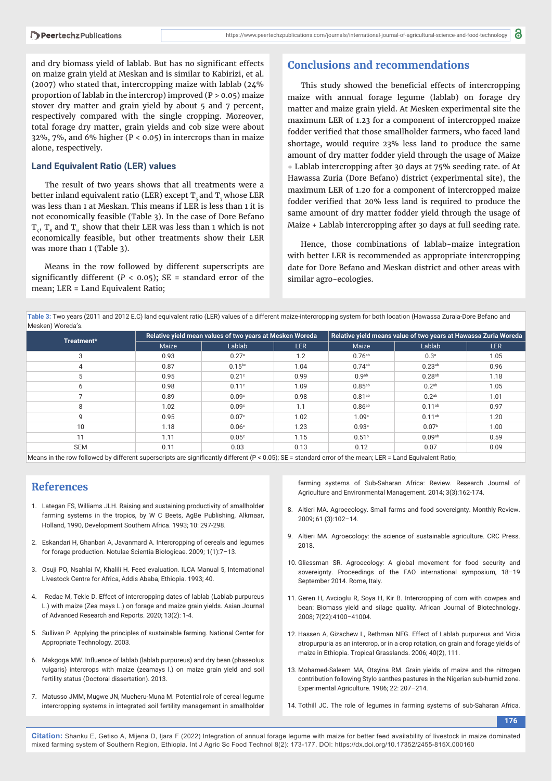and dry biomass yield of lablab. But has no significant effects on maize grain yield at Meskan and is similar to Kabirizi, et al. (2007) who stated that, intercropping maize with lablab (24% proportion of lablab in the intercrop) improved (P > 0.05) maize stover dry matter and grain yield by about 5 and 7 percent, respectively compared with the single cropping. Moreover, total forage dry matter, grain yields and cob size were about 32%,  $7\%$ , and 6% higher (P < 0.05) in intercrops than in maize alone, respectively.

#### **Land Equivalent Ratio (LER) values**

The result of two years shows that all treatments were a better inland equivalent ratio (LER) except  $T_c$  and  $T<sub>7</sub>$  whose LER was less than 1 at Meskan. This means if LER is less than 1 it is not economically feasible (Table 3). In the case of Dore Befano  $T_{4}$ ,  $T_{8}$  and  $T_{11}$  show that their LER was less than 1 which is not economically feasible, but other treatments show their LER was more than 1 (Table 3).

Means in the row followed by different superscripts are significantly different ( $P < 0.05$ ); SE = standard error of the mean; LER = Land Equivalent Ratio;

## **Conclusions and recommendations**

This study showed the beneficial effects of intercropping maize with annual forage legume (lablab) on forage dry matter and maize grain yield. At Mesken experimental site the maximum LER of 1.23 for a component of intercropped maize fodder verified that those smallholder farmers, who faced land shortage, would require 23% less land to produce the same amount of dry matter fodder yield through the usage of Maize + Lablab intercropping after 30 days at 75% seeding rate. of At Hawassa Zuria (Dore Befano) district (experimental site), the maximum LER of 1.20 for a component of intercropped maize fodder verified that 20% less land is required to produce the same amount of dry matter fodder yield through the usage of Maize + Lablab intercropping after 30 days at full seeding rate.

Hence, those combinations of lablab-maize integration with better LER is recommended as appropriate intercropping date for Dore Befano and Meskan district and other areas with similar agro-ecologies.

**Table 3:** Two years (2011 and 2012 E.C) land equivalent ratio (LER) values of a different maize-intercropping system for both location (Hawassa Zuraia-Dore Befano and Mesken) Woreda's.

| Treatment*                                                                                                                                                |       | Relative vield mean values of two years at Mesken Woreda |            | Relative yield means value of two years at Hawassa Zuria Woreda |                    |            |  |
|-----------------------------------------------------------------------------------------------------------------------------------------------------------|-------|----------------------------------------------------------|------------|-----------------------------------------------------------------|--------------------|------------|--|
|                                                                                                                                                           | Maize | Lablab                                                   | <b>LER</b> | Maize                                                           | Lablab             | <b>LER</b> |  |
| 3                                                                                                                                                         | 0.93  | 0.27 <sup>a</sup>                                        | 1.2        | $0.76^{ab}$                                                     | 0.3 <sup>a</sup>   | 1.05       |  |
| 4                                                                                                                                                         | 0.87  | $0.15^{bc}$                                              | 1.04       | $0.74^{ab}$                                                     | 0.23 <sup>ab</sup> | 0.96       |  |
| 5                                                                                                                                                         | 0.95  | 0.21c                                                    | 0.99       | 0.9 <sup>ab</sup>                                               | 0.28 <sup>ab</sup> | 1.18       |  |
| 6                                                                                                                                                         | 0.98  | 0.11 <sup>c</sup>                                        | 1.09       | $0.85^{ab}$                                                     | 0.2 <sup>ab</sup>  | 1.05       |  |
|                                                                                                                                                           | 0.89  | 0.09 <sup>c</sup>                                        | 0.98       | $0.81^{ab}$                                                     | 0.2 <sup>ab</sup>  | 1.01       |  |
| 8                                                                                                                                                         | 1.02  | 0.09 <sup>c</sup>                                        | 1.1        | 0.86 <sup>ab</sup>                                              | $0.11^{ab}$        | 0.97       |  |
| 9                                                                                                                                                         | 0.95  | 0.07 <sup>c</sup>                                        | 1.02       | 1.09 <sup>a</sup>                                               | $0.11^{ab}$        | 1.20       |  |
| 10                                                                                                                                                        | 1.18  | 0.06c                                                    | 1.23       | 0.93 <sup>a</sup>                                               | 0.07 <sup>b</sup>  | 1.00       |  |
| 11                                                                                                                                                        | 1.11  | 0.05c                                                    | 1.15       | 0.51 <sup>b</sup>                                               | 0.09 <sub>ab</sub> | 0.59       |  |
| <b>SEM</b>                                                                                                                                                | 0.11  | 0.03                                                     | 0.13       | 0.12                                                            | 0.07               | 0.09       |  |
| Means in the row followed by different superscripts are significantly different (P < 0.05); SE = standard error of the mean; LER = Land Equivalent Ratio; |       |                                                          |            |                                                                 |                    |            |  |

## **References**

- 1. Lategan FS, Williams JLH. Raising and sustaining productivity of smallholder farming systems in the tropics, by W C Beets, AgBe Publishing, Alkmaar, Holland, 1990, Development Southern Africa. 1993; 10: 297-298.
- 2. Eskandari H, Ghanbari A, Javanmard A. Intercropping of cereals and legumes for forage production. Notulae Scientia Biologicae. 2009; 1(1):7–13.
- 3. Osuji PO, Nsahlai IV, Khalili H. Feed evaluation. ILCA Manual 5, International Livestock Centre for Africa, Addis Ababa, Ethiopia. 1993; 40.
- 4. Redae M, Tekle D. Effect of intercropping dates of lablab (Lablab purpureus L.) with maize (Zea mays L.) on forage and maize grain yields. Asian Journal of Advanced Research and Reports. 2020; 13(2): 1-4.
- 5. Sullivan P. Applying the principles of sustainable farming. National Center for Appropriate Technology. 2003.
- 6. Makgoga MW. Influence of lablab (lablab purpureus) and dry bean (phaseolus vulgaris) intercrops with maize (zeamays l.) on maize grain yield and soil fertility status (Doctoral dissertation). 2013.
- 7. Matusso JMM, Mugwe JN, Mucheru-Muna M. Potential role of cereal legume intercropping systems in integrated soil fertility management in smallholder

farming systems of Sub-Saharan Africa: Review. Research Journal of Agriculture and Environmental Management. 2014; 3(3):162-174.

- 8. Altieri MA. Agroecology. Small farms and food sovereignty. Monthly Review. 2009; 61 (3):102–14.
- 9. Altieri MA. Agroecology: the science of sustainable agriculture. CRC Press. 2018.
- 10. Gliessman SR. Agroecology: A global movement for food security and sovereignty. Proceedings of the FAO international symposium, 18–19 September 2014. Rome, Italy.
- 11. Geren H, Avcioglu R, Soya H, Kir B. Intercropping of corn with cowpea and bean: Biomass yield and silage quality. African Journal of Biotechnology. 2008; 7(22):4100–41004.
- 12. Hassen A, Gizachew L, Rethman NFG. Effect of Lablab purpureus and Vicia atropurpuria as an intercrop, or in a crop rotation, on grain and forage yields of maize in Ethiopia. Tropical Grasslands. 2006; 40(2), 111.
- 13. Mohamed-Saleem MA, Otsyina RM. Grain yields of maize and the nitrogen contribution following Stylo santhes pastures in the Nigerian sub-humid zone. Experimental Agriculture. 1986; 22: 207–214.

**176**

**Citation:** Shanku E, Getiso A, Mijena D, Ijara F (2022) Integration of annual forage legume with maize for better feed availability of livestock in maize dominated mixed farming system of Southern Region, Ethiopia. Int J Agric Sc Food Technol 8(2): 173-177. DOI: https://dx.doi.org/10.17352/2455-815X.000160

<sup>14.</sup> Tothill JC. The role of legumes in farming systems of sub-Saharan Africa.